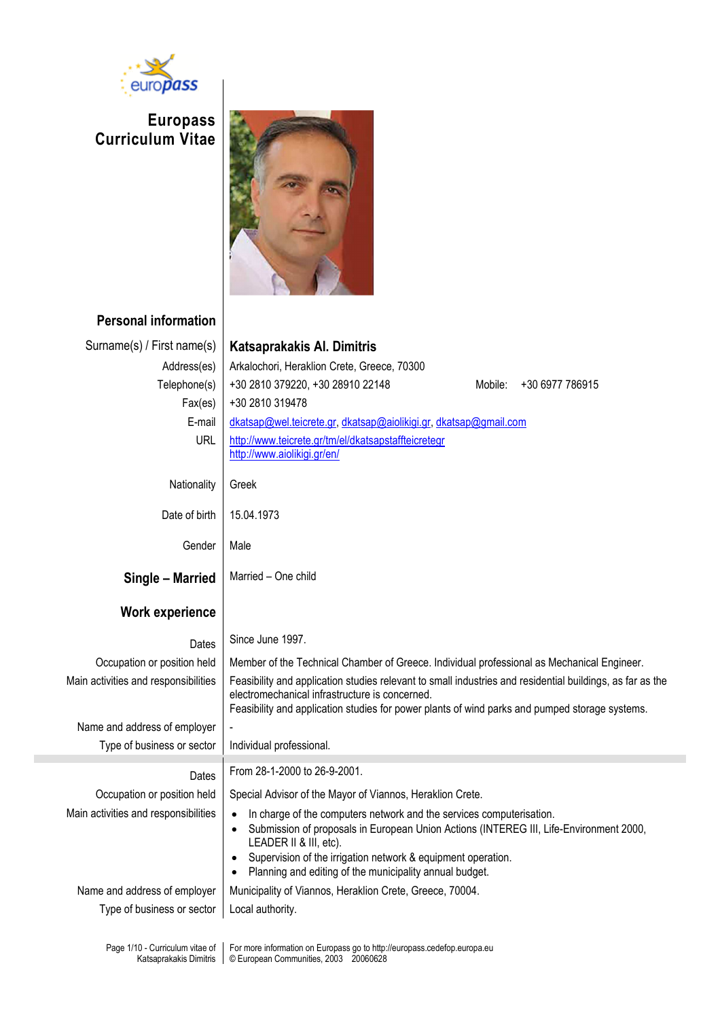

# **Europass Curriculum Vitae**



## **Personal information**

| Surname(s) / First name(s)           | Katsaprakakis Al. Dimitris                                                                                                                                                                                                                                    |  |  |  |  |  |  |  |
|--------------------------------------|---------------------------------------------------------------------------------------------------------------------------------------------------------------------------------------------------------------------------------------------------------------|--|--|--|--|--|--|--|
| Address(es)                          | Arkalochori, Heraklion Crete, Greece, 70300                                                                                                                                                                                                                   |  |  |  |  |  |  |  |
| Telephone(s)                         | +30 2810 379220, +30 28910 22148<br>Mobile:<br>+30 6977 786915                                                                                                                                                                                                |  |  |  |  |  |  |  |
| Fax(es)                              | +30 2810 319478                                                                                                                                                                                                                                               |  |  |  |  |  |  |  |
| E-mail                               | dkatsap@wel.teicrete.gr, dkatsap@aiolikigi.gr, dkatsap@gmail.com                                                                                                                                                                                              |  |  |  |  |  |  |  |
| <b>URL</b>                           | http://www.teicrete.gr/tm/el/dkatsapstaffteicretegr<br>http://www.aiolikigi.gr/en/                                                                                                                                                                            |  |  |  |  |  |  |  |
| Nationality                          | Greek                                                                                                                                                                                                                                                         |  |  |  |  |  |  |  |
| Date of birth                        | 15.04.1973                                                                                                                                                                                                                                                    |  |  |  |  |  |  |  |
| Gender                               | Male                                                                                                                                                                                                                                                          |  |  |  |  |  |  |  |
| Single - Married                     | Married - One child                                                                                                                                                                                                                                           |  |  |  |  |  |  |  |
| <b>Work experience</b>               |                                                                                                                                                                                                                                                               |  |  |  |  |  |  |  |
| Dates                                | Since June 1997.                                                                                                                                                                                                                                              |  |  |  |  |  |  |  |
| Occupation or position held          | Member of the Technical Chamber of Greece. Individual professional as Mechanical Engineer.                                                                                                                                                                    |  |  |  |  |  |  |  |
| Main activities and responsibilities | Feasibility and application studies relevant to small industries and residential buildings, as far as the<br>electromechanical infrastructure is concerned.<br>Feasibility and application studies for power plants of wind parks and pumped storage systems. |  |  |  |  |  |  |  |
| Name and address of employer         |                                                                                                                                                                                                                                                               |  |  |  |  |  |  |  |
| Type of business or sector           | Individual professional.                                                                                                                                                                                                                                      |  |  |  |  |  |  |  |
| Dates                                |                                                                                                                                                                                                                                                               |  |  |  |  |  |  |  |
|                                      | From 28-1-2000 to 26-9-2001.                                                                                                                                                                                                                                  |  |  |  |  |  |  |  |
| Occupation or position held          | Special Advisor of the Mayor of Viannos, Heraklion Crete.                                                                                                                                                                                                     |  |  |  |  |  |  |  |
| Main activities and responsibilities | In charge of the computers network and the services computerisation.<br>Submission of proposals in European Union Actions (INTEREG III, Life-Environment 2000,<br>LEADER II & III, etc).                                                                      |  |  |  |  |  |  |  |
|                                      | Supervision of the irrigation network & equipment operation.<br>Planning and editing of the municipality annual budget.                                                                                                                                       |  |  |  |  |  |  |  |
| Name and address of employer         | Municipality of Viannos, Heraklion Crete, Greece, 70004.                                                                                                                                                                                                      |  |  |  |  |  |  |  |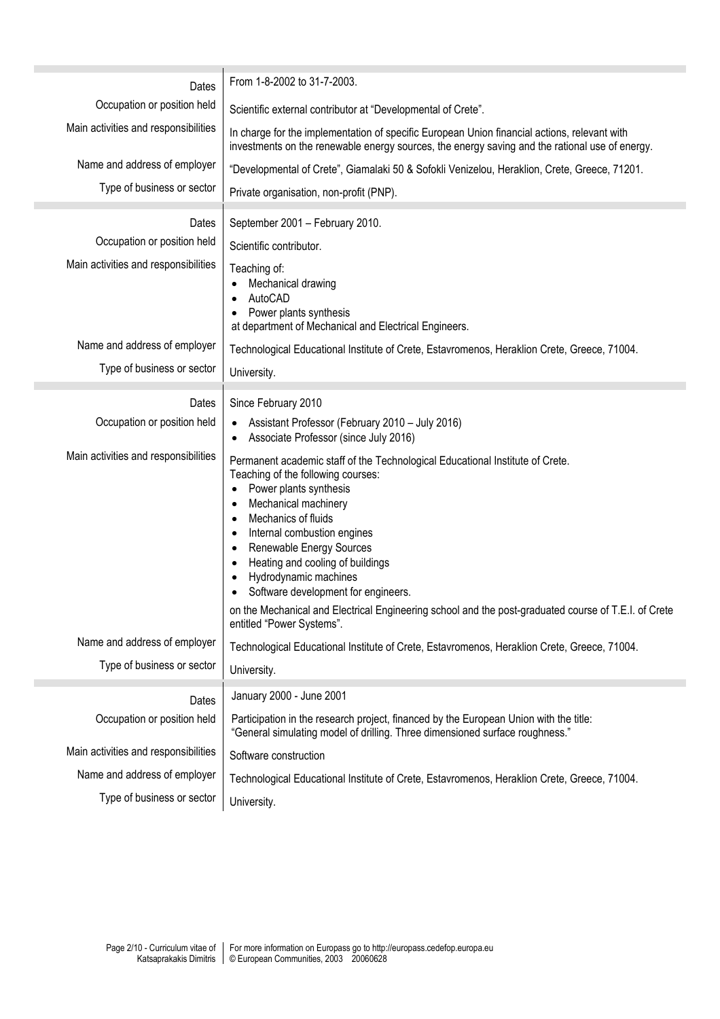| Dates                                | From 1-8-2002 to 31-7-2003.                                                                                                                                                                                                                                                                                                                                                                                                                                                                           |  |  |  |  |  |  |
|--------------------------------------|-------------------------------------------------------------------------------------------------------------------------------------------------------------------------------------------------------------------------------------------------------------------------------------------------------------------------------------------------------------------------------------------------------------------------------------------------------------------------------------------------------|--|--|--|--|--|--|
| Occupation or position held          | Scientific external contributor at "Developmental of Crete".                                                                                                                                                                                                                                                                                                                                                                                                                                          |  |  |  |  |  |  |
| Main activities and responsibilities | In charge for the implementation of specific European Union financial actions, relevant with<br>investments on the renewable energy sources, the energy saving and the rational use of energy.                                                                                                                                                                                                                                                                                                        |  |  |  |  |  |  |
| Name and address of employer         | "Developmental of Crete", Giamalaki 50 & Sofokli Venizelou, Heraklion, Crete, Greece, 71201.                                                                                                                                                                                                                                                                                                                                                                                                          |  |  |  |  |  |  |
| Type of business or sector           | Private organisation, non-profit (PNP).                                                                                                                                                                                                                                                                                                                                                                                                                                                               |  |  |  |  |  |  |
| Dates                                | September 2001 - February 2010.                                                                                                                                                                                                                                                                                                                                                                                                                                                                       |  |  |  |  |  |  |
| Occupation or position held          | Scientific contributor.                                                                                                                                                                                                                                                                                                                                                                                                                                                                               |  |  |  |  |  |  |
| Main activities and responsibilities | Teaching of:<br>Mechanical drawing<br>AutoCAD<br>Power plants synthesis<br>at department of Mechanical and Electrical Engineers.                                                                                                                                                                                                                                                                                                                                                                      |  |  |  |  |  |  |
| Name and address of employer         | Technological Educational Institute of Crete, Estavromenos, Heraklion Crete, Greece, 71004.                                                                                                                                                                                                                                                                                                                                                                                                           |  |  |  |  |  |  |
| Type of business or sector           | University.                                                                                                                                                                                                                                                                                                                                                                                                                                                                                           |  |  |  |  |  |  |
| Dates                                | Since February 2010                                                                                                                                                                                                                                                                                                                                                                                                                                                                                   |  |  |  |  |  |  |
| Occupation or position held          | Assistant Professor (February 2010 - July 2016)<br>$\bullet$<br>Associate Professor (since July 2016)<br>$\bullet$                                                                                                                                                                                                                                                                                                                                                                                    |  |  |  |  |  |  |
| Main activities and responsibilities | Permanent academic staff of the Technological Educational Institute of Crete.<br>Teaching of the following courses:<br>Power plants synthesis<br>٠<br>Mechanical machinery<br>Mechanics of fluids<br>Internal combustion engines<br>Renewable Energy Sources<br>Heating and cooling of buildings<br>Hydrodynamic machines<br>Software development for engineers.<br>on the Mechanical and Electrical Engineering school and the post-graduated course of T.E.I. of Crete<br>entitled "Power Systems". |  |  |  |  |  |  |
| Name and address of employer         | Technological Educational Institute of Crete, Estavromenos, Heraklion Crete, Greece, 71004.                                                                                                                                                                                                                                                                                                                                                                                                           |  |  |  |  |  |  |
| Type of business or sector           | University.                                                                                                                                                                                                                                                                                                                                                                                                                                                                                           |  |  |  |  |  |  |
| Dates                                | January 2000 - June 2001                                                                                                                                                                                                                                                                                                                                                                                                                                                                              |  |  |  |  |  |  |
| Occupation or position held          | Participation in the research project, financed by the European Union with the title:<br>"General simulating model of drilling. Three dimensioned surface roughness."                                                                                                                                                                                                                                                                                                                                 |  |  |  |  |  |  |
| Main activities and responsibilities | Software construction                                                                                                                                                                                                                                                                                                                                                                                                                                                                                 |  |  |  |  |  |  |
| Name and address of employer         | Technological Educational Institute of Crete, Estavromenos, Heraklion Crete, Greece, 71004.                                                                                                                                                                                                                                                                                                                                                                                                           |  |  |  |  |  |  |
| Type of business or sector           | University.                                                                                                                                                                                                                                                                                                                                                                                                                                                                                           |  |  |  |  |  |  |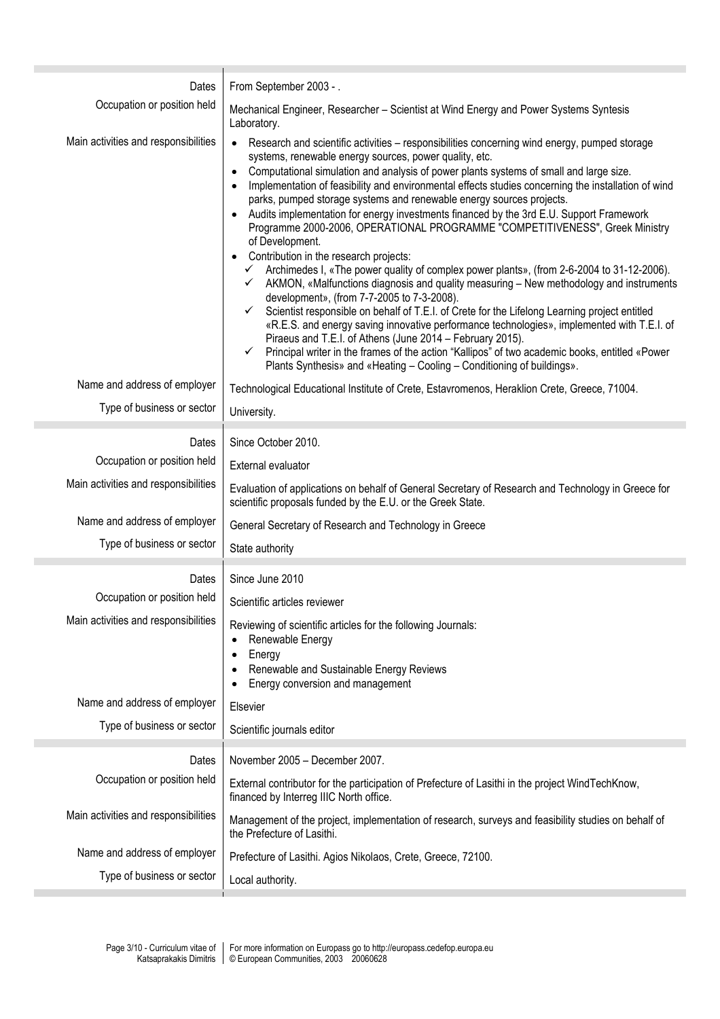| Dates                                | From September 2003 - .                                                                                                                                                                                                                                                                                                                                                                                                                                                                                                                                                                                                                                                                                                                                                                                                                                                                                                                                                                                                                                                                                                                                                                                                                                                                                                                                                                                                          |  |  |  |  |  |  |
|--------------------------------------|----------------------------------------------------------------------------------------------------------------------------------------------------------------------------------------------------------------------------------------------------------------------------------------------------------------------------------------------------------------------------------------------------------------------------------------------------------------------------------------------------------------------------------------------------------------------------------------------------------------------------------------------------------------------------------------------------------------------------------------------------------------------------------------------------------------------------------------------------------------------------------------------------------------------------------------------------------------------------------------------------------------------------------------------------------------------------------------------------------------------------------------------------------------------------------------------------------------------------------------------------------------------------------------------------------------------------------------------------------------------------------------------------------------------------------|--|--|--|--|--|--|
| Occupation or position held          | Mechanical Engineer, Researcher - Scientist at Wind Energy and Power Systems Syntesis<br>Laboratory.                                                                                                                                                                                                                                                                                                                                                                                                                                                                                                                                                                                                                                                                                                                                                                                                                                                                                                                                                                                                                                                                                                                                                                                                                                                                                                                             |  |  |  |  |  |  |
| Main activities and responsibilities | Research and scientific activities - responsibilities concerning wind energy, pumped storage<br>$\bullet$<br>systems, renewable energy sources, power quality, etc.<br>Computational simulation and analysis of power plants systems of small and large size.<br>$\bullet$<br>Implementation of feasibility and environmental effects studies concerning the installation of wind<br>parks, pumped storage systems and renewable energy sources projects.<br>Audits implementation for energy investments financed by the 3rd E.U. Support Framework<br>Programme 2000-2006, OPERATIONAL PROGRAMME "COMPETITIVENESS", Greek Ministry<br>of Development.<br>Contribution in the research projects:<br>Archimedes I, «The power quality of complex power plants», (from 2-6-2004 to 31-12-2006).<br>$\checkmark$<br>AKMON, «Malfunctions diagnosis and quality measuring - New methodology and instruments<br>$\checkmark$<br>development», (from 7-7-2005 to 7-3-2008).<br>Scientist responsible on behalf of T.E.I. of Crete for the Lifelong Learning project entitled<br>$\checkmark$<br>«R.E.S. and energy saving innovative performance technologies», implemented with T.E.I. of<br>Piraeus and T.E.I. of Athens (June 2014 - February 2015).<br>✓ Principal writer in the frames of the action "Kallipos" of two academic books, entitled «Power<br>Plants Synthesis» and «Heating - Cooling - Conditioning of buildings». |  |  |  |  |  |  |
| Name and address of employer         | Technological Educational Institute of Crete, Estavromenos, Heraklion Crete, Greece, 71004.                                                                                                                                                                                                                                                                                                                                                                                                                                                                                                                                                                                                                                                                                                                                                                                                                                                                                                                                                                                                                                                                                                                                                                                                                                                                                                                                      |  |  |  |  |  |  |
| Type of business or sector           | University.                                                                                                                                                                                                                                                                                                                                                                                                                                                                                                                                                                                                                                                                                                                                                                                                                                                                                                                                                                                                                                                                                                                                                                                                                                                                                                                                                                                                                      |  |  |  |  |  |  |
| Dates                                | Since October 2010.                                                                                                                                                                                                                                                                                                                                                                                                                                                                                                                                                                                                                                                                                                                                                                                                                                                                                                                                                                                                                                                                                                                                                                                                                                                                                                                                                                                                              |  |  |  |  |  |  |
| Occupation or position held          | External evaluator                                                                                                                                                                                                                                                                                                                                                                                                                                                                                                                                                                                                                                                                                                                                                                                                                                                                                                                                                                                                                                                                                                                                                                                                                                                                                                                                                                                                               |  |  |  |  |  |  |
| Main activities and responsibilities | Evaluation of applications on behalf of General Secretary of Research and Technology in Greece for<br>scientific proposals funded by the E.U. or the Greek State.                                                                                                                                                                                                                                                                                                                                                                                                                                                                                                                                                                                                                                                                                                                                                                                                                                                                                                                                                                                                                                                                                                                                                                                                                                                                |  |  |  |  |  |  |
| Name and address of employer         | General Secretary of Research and Technology in Greece                                                                                                                                                                                                                                                                                                                                                                                                                                                                                                                                                                                                                                                                                                                                                                                                                                                                                                                                                                                                                                                                                                                                                                                                                                                                                                                                                                           |  |  |  |  |  |  |
| Type of business or sector           | State authority                                                                                                                                                                                                                                                                                                                                                                                                                                                                                                                                                                                                                                                                                                                                                                                                                                                                                                                                                                                                                                                                                                                                                                                                                                                                                                                                                                                                                  |  |  |  |  |  |  |
| Dates                                | Since June 2010                                                                                                                                                                                                                                                                                                                                                                                                                                                                                                                                                                                                                                                                                                                                                                                                                                                                                                                                                                                                                                                                                                                                                                                                                                                                                                                                                                                                                  |  |  |  |  |  |  |
| Occupation or position held          | Scientific articles reviewer                                                                                                                                                                                                                                                                                                                                                                                                                                                                                                                                                                                                                                                                                                                                                                                                                                                                                                                                                                                                                                                                                                                                                                                                                                                                                                                                                                                                     |  |  |  |  |  |  |
| Main activities and responsibilities | Reviewing of scientific articles for the following Journals:<br>Renewable Energy<br>Energy<br>Renewable and Sustainable Energy Reviews<br>Energy conversion and management                                                                                                                                                                                                                                                                                                                                                                                                                                                                                                                                                                                                                                                                                                                                                                                                                                                                                                                                                                                                                                                                                                                                                                                                                                                       |  |  |  |  |  |  |
| Name and address of employer         | Elsevier                                                                                                                                                                                                                                                                                                                                                                                                                                                                                                                                                                                                                                                                                                                                                                                                                                                                                                                                                                                                                                                                                                                                                                                                                                                                                                                                                                                                                         |  |  |  |  |  |  |
| Type of business or sector           | Scientific journals editor                                                                                                                                                                                                                                                                                                                                                                                                                                                                                                                                                                                                                                                                                                                                                                                                                                                                                                                                                                                                                                                                                                                                                                                                                                                                                                                                                                                                       |  |  |  |  |  |  |
| Dates                                | November 2005 - December 2007.                                                                                                                                                                                                                                                                                                                                                                                                                                                                                                                                                                                                                                                                                                                                                                                                                                                                                                                                                                                                                                                                                                                                                                                                                                                                                                                                                                                                   |  |  |  |  |  |  |
| Occupation or position held          | External contributor for the participation of Prefecture of Lasithi in the project WindTechKnow,<br>financed by Interreg IIIC North office.                                                                                                                                                                                                                                                                                                                                                                                                                                                                                                                                                                                                                                                                                                                                                                                                                                                                                                                                                                                                                                                                                                                                                                                                                                                                                      |  |  |  |  |  |  |
| Main activities and responsibilities | Management of the project, implementation of research, surveys and feasibility studies on behalf of<br>the Prefecture of Lasithi.                                                                                                                                                                                                                                                                                                                                                                                                                                                                                                                                                                                                                                                                                                                                                                                                                                                                                                                                                                                                                                                                                                                                                                                                                                                                                                |  |  |  |  |  |  |
| Name and address of employer         | Prefecture of Lasithi. Agios Nikolaos, Crete, Greece, 72100.                                                                                                                                                                                                                                                                                                                                                                                                                                                                                                                                                                                                                                                                                                                                                                                                                                                                                                                                                                                                                                                                                                                                                                                                                                                                                                                                                                     |  |  |  |  |  |  |
| Type of business or sector           | Local authority.                                                                                                                                                                                                                                                                                                                                                                                                                                                                                                                                                                                                                                                                                                                                                                                                                                                                                                                                                                                                                                                                                                                                                                                                                                                                                                                                                                                                                 |  |  |  |  |  |  |
|                                      |                                                                                                                                                                                                                                                                                                                                                                                                                                                                                                                                                                                                                                                                                                                                                                                                                                                                                                                                                                                                                                                                                                                                                                                                                                                                                                                                                                                                                                  |  |  |  |  |  |  |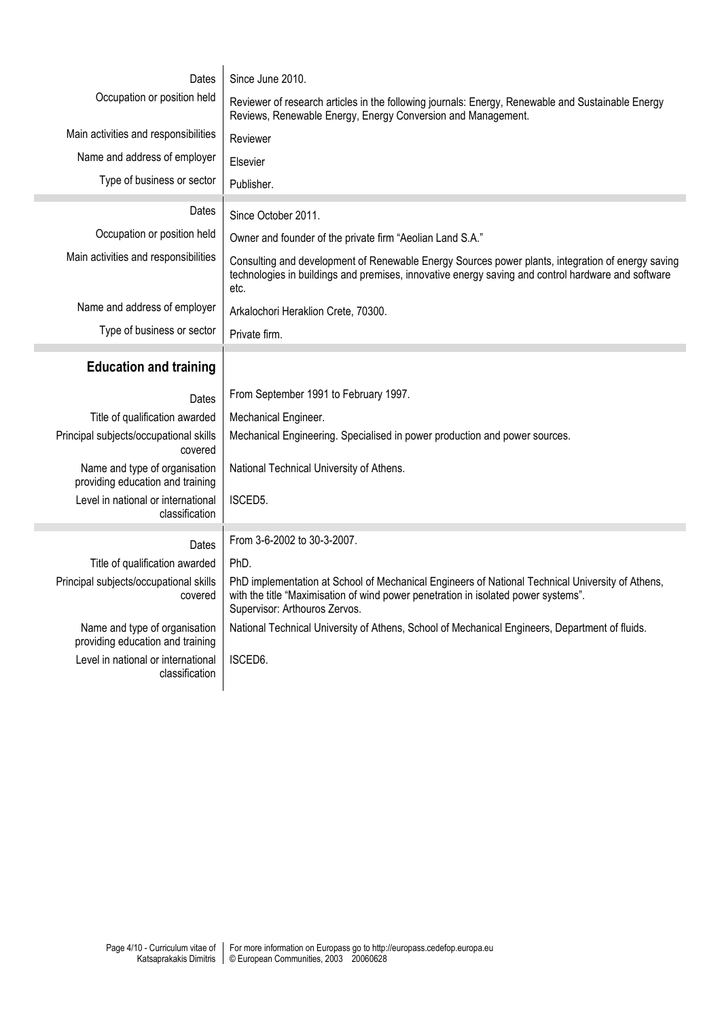| Dates                                                             | Since June 2010.                                                                                                                                                                                                        |  |  |  |  |  |
|-------------------------------------------------------------------|-------------------------------------------------------------------------------------------------------------------------------------------------------------------------------------------------------------------------|--|--|--|--|--|
| Occupation or position held                                       | Reviewer of research articles in the following journals: Energy, Renewable and Sustainable Energy<br>Reviews, Renewable Energy, Energy Conversion and Management.                                                       |  |  |  |  |  |
| Main activities and responsibilities                              | Reviewer                                                                                                                                                                                                                |  |  |  |  |  |
| Name and address of employer                                      | Elsevier                                                                                                                                                                                                                |  |  |  |  |  |
| Type of business or sector                                        | Publisher.                                                                                                                                                                                                              |  |  |  |  |  |
| Dates                                                             | Since October 2011.                                                                                                                                                                                                     |  |  |  |  |  |
| Occupation or position held                                       |                                                                                                                                                                                                                         |  |  |  |  |  |
| Main activities and responsibilities                              | Owner and founder of the private firm "Aeolian Land S.A."                                                                                                                                                               |  |  |  |  |  |
|                                                                   | Consulting and development of Renewable Energy Sources power plants, integration of energy saving<br>technologies in buildings and premises, innovative energy saving and control hardware and software<br>etc.         |  |  |  |  |  |
| Name and address of employer                                      | Arkalochori Heraklion Crete, 70300.                                                                                                                                                                                     |  |  |  |  |  |
| Type of business or sector                                        | Private firm.                                                                                                                                                                                                           |  |  |  |  |  |
| <b>Education and training</b>                                     |                                                                                                                                                                                                                         |  |  |  |  |  |
| Dates                                                             | From September 1991 to February 1997.                                                                                                                                                                                   |  |  |  |  |  |
| Title of qualification awarded                                    | Mechanical Engineer.                                                                                                                                                                                                    |  |  |  |  |  |
| Principal subjects/occupational skills<br>covered                 | Mechanical Engineering. Specialised in power production and power sources.                                                                                                                                              |  |  |  |  |  |
| Name and type of organisation<br>providing education and training | National Technical University of Athens.                                                                                                                                                                                |  |  |  |  |  |
| Level in national or international<br>classification              | ISCED5.                                                                                                                                                                                                                 |  |  |  |  |  |
| Dates                                                             | From 3-6-2002 to 30-3-2007.                                                                                                                                                                                             |  |  |  |  |  |
| Title of qualification awarded                                    | PhD.                                                                                                                                                                                                                    |  |  |  |  |  |
| Principal subjects/occupational skills<br>covered                 | PhD implementation at School of Mechanical Engineers of National Technical University of Athens,<br>with the title "Maximisation of wind power penetration in isolated power systems".<br>Supervisor: Arthouros Zervos. |  |  |  |  |  |
| Name and type of organisation<br>providing education and training | National Technical University of Athens, School of Mechanical Engineers, Department of fluids.                                                                                                                          |  |  |  |  |  |
| Level in national or international<br>classification              | ISCED6.                                                                                                                                                                                                                 |  |  |  |  |  |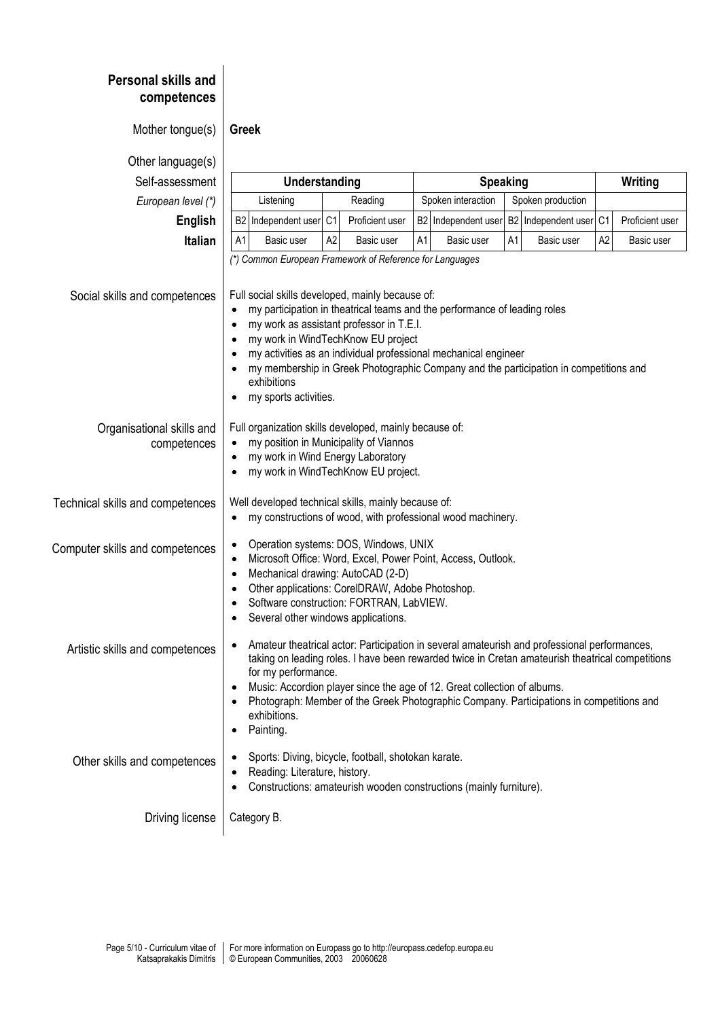| <b>Personal skills and</b><br>competences |                                                                                                                                                                                                                                                                                                                                                                                                                                                                              |                |                 |                                         |                  |    |                     |                |                 |  |
|-------------------------------------------|------------------------------------------------------------------------------------------------------------------------------------------------------------------------------------------------------------------------------------------------------------------------------------------------------------------------------------------------------------------------------------------------------------------------------------------------------------------------------|----------------|-----------------|-----------------------------------------|------------------|----|---------------------|----------------|-----------------|--|
| Mother tongue(s)                          | Greek                                                                                                                                                                                                                                                                                                                                                                                                                                                                        |                |                 |                                         |                  |    |                     |                |                 |  |
| Other language(s)                         |                                                                                                                                                                                                                                                                                                                                                                                                                                                                              |                |                 |                                         |                  |    |                     |                |                 |  |
| Self-assessment                           | Understanding                                                                                                                                                                                                                                                                                                                                                                                                                                                                |                |                 | <b>Speaking</b>                         |                  |    |                     | Writing        |                 |  |
| European level (*)                        | Listening                                                                                                                                                                                                                                                                                                                                                                                                                                                                    | Reading        |                 | Spoken interaction<br>Spoken production |                  |    |                     |                |                 |  |
| English                                   | Independent user C1<br>B2                                                                                                                                                                                                                                                                                                                                                                                                                                                    |                | Proficient user | B <sub>2</sub>                          | Independent user |    | B2 Independent user | C <sub>1</sub> | Proficient user |  |
| <b>Italian</b>                            | A <sub>1</sub><br>Basic user                                                                                                                                                                                                                                                                                                                                                                                                                                                 | A <sub>2</sub> | Basic user      | A1                                      | Basic user       | A1 | Basic user          | A <sub>2</sub> | Basic user      |  |
|                                           | (*) Common European Framework of Reference for Languages                                                                                                                                                                                                                                                                                                                                                                                                                     |                |                 |                                         |                  |    |                     |                |                 |  |
| Social skills and competences             | Full social skills developed, mainly because of:<br>my participation in theatrical teams and the performance of leading roles<br>$\bullet$<br>my work as assistant professor in T.E.I.<br>$\bullet$<br>my work in WindTechKnow EU project<br>$\bullet$<br>my activities as an individual professional mechanical engineer<br>$\bullet$<br>my membership in Greek Photographic Company and the participation in competitions and<br>exhibitions<br>my sports activities.<br>٠ |                |                 |                                         |                  |    |                     |                |                 |  |
| Organisational skills and<br>competences  | Full organization skills developed, mainly because of:<br>my position in Municipality of Viannos<br>my work in Wind Energy Laboratory<br>$\bullet$<br>my work in WindTechKnow EU project.<br>$\bullet$                                                                                                                                                                                                                                                                       |                |                 |                                         |                  |    |                     |                |                 |  |
| Technical skills and competences          | Well developed technical skills, mainly because of:<br>my constructions of wood, with professional wood machinery.<br>$\bullet$                                                                                                                                                                                                                                                                                                                                              |                |                 |                                         |                  |    |                     |                |                 |  |
| Computer skills and competences           | Operation systems: DOS, Windows, UNIX<br>$\bullet$<br>Microsoft Office: Word, Excel, Power Point, Access, Outlook.<br>$\bullet$<br>Mechanical drawing: AutoCAD (2-D)<br>$\bullet$<br>Other applications: CorelDRAW, Adobe Photoshop.<br>Software construction: FORTRAN, LabVIEW.<br>$\bullet$<br>Several other windows applications.                                                                                                                                         |                |                 |                                         |                  |    |                     |                |                 |  |
| Artistic skills and competences           | Amateur theatrical actor: Participation in several amateurish and professional performances,<br>taking on leading roles. I have been rewarded twice in Cretan amateurish theatrical competitions<br>for my performance.<br>Music: Accordion player since the age of 12. Great collection of albums.<br>Photograph: Member of the Greek Photographic Company. Participations in competitions and<br>exhibitions.<br>Painting.<br>٠                                            |                |                 |                                         |                  |    |                     |                |                 |  |
| Other skills and competences              | Sports: Diving, bicycle, football, shotokan karate.<br>٠<br>Reading: Literature, history.<br>Constructions: amateurish wooden constructions (mainly furniture).                                                                                                                                                                                                                                                                                                              |                |                 |                                         |                  |    |                     |                |                 |  |
| Driving license                           | Category B.                                                                                                                                                                                                                                                                                                                                                                                                                                                                  |                |                 |                                         |                  |    |                     |                |                 |  |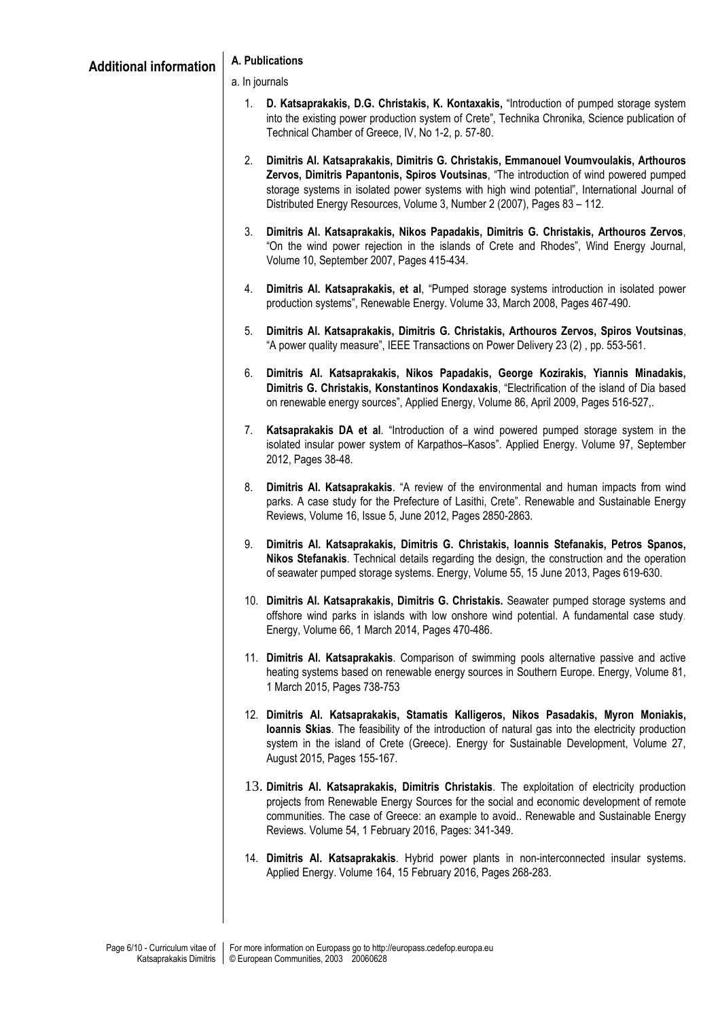- 1. **D. Katsaprakakis, D.G. Christakis, K. Kontaxakis,** "Introduction of pumped storage system into the existing power production system of Crete", Technika Chronika, Science publication of Technical Chamber of Greece, IV, No 1-2, p. 57-80.
- 2. **Dimitris Al. Katsaprakakis, Dimitris G. Christakis, Emmanouel Voumvoulakis, Arthouros Zervos, Dimitris Papantonis, Spiros Voutsinas**, "Τhe introduction of wind powered pumped storage systems in isolated power systems with high wind potential", International Journal of Distributed Energy Resources, Volume 3, Number 2 (2007), Pages 83 – 112.
- 3. **Dimitris Al. Katsaprakakis, Nikos Papadakis, Dimitris G. Christakis, Arthouros Zervos**, "On the wind power rejection in the islands of Crete and Rhodes", Wind Energy Journal, Volume 10, September 2007, Pages 415-434.
- 4. **Dimitris Al. Katsaprakakis, et al**, "Pumped storage systems introduction in isolated power production systems", Renewable Energy. Volume 33, March 2008, Pages 467-490.
- 5. **Dimitris Al. Katsaprakakis, Dimitris G. Christakis, Arthouros Zervos, Spiros Voutsinas**, "A power quality measure", IEEE Transactions on Power Delivery 23 (2) , pp. 553-561.
- 6. **Dimitris Al. Katsaprakakis, Nikos Papadakis, George Kozirakis, Yiannis Minadakis, Dimitris G. Christakis, Konstantinos Kondaxakis**, "Electrification of the island of Dia based on renewable energy sources", Applied Energy, Volume 86, April 2009, Pages 516-527,.
- 7. **Katsaprakakis DA et al**. "Introduction of a wind powered pumped storage system in the isolated insular power system of Karpathos–Kasos". Applied Energy. Volume 97, September 2012, Pages 38-48.
- 8. **Dimitris Al. Katsaprakakis**. "A review of the environmental and human impacts from wind parks. A case study for the Prefecture of Lasithi, Crete". Renewable and Sustainable Energy Reviews, Volume 16, Issue 5, June 2012, Pages 2850-2863.
- 9. **Dimitris Al. Katsaprakakis, Dimitris G. Christakis, Ioannis Stefanakis, Petros Spanos, Nikos Stefanakis**. Technical details regarding the design, the construction and the operation of seawater pumped storage systems. Energy, Volume 55, 15 June 2013, Pages 619-630.
- 10. **Dimitris Al. Katsaprakakis, Dimitris G. Christakis.** Seawater pumped storage systems and offshore wind parks in islands with low onshore wind potential. A fundamental case study. Energy, Volume 66, 1 March 2014, Pages 470-486.
- 11. **Dimitris Al. Katsaprakakis**. Comparison of swimming pools alternative passive and active heating systems based on renewable energy sources in Southern Europe. Energy, Volume 81, 1 March 2015, Pages 738-753
- 12. **Dimitris Al. Katsaprakakis, Stamatis Kalligeros, Nikos Pasadakis, Myron Moniakis, Ioannis Skias**. The feasibility of the introduction of natural gas into the electricity production system in the island of Crete (Greece). Energy for Sustainable Development, Volume 27, August 2015, Pages 155-167.
- 13. **Dimitris Al. Katsaprakakis, Dimitris Christakis**. The exploitation of electricity production projects from Renewable Energy Sources for the social and economic development of remote communities. The case of Greece: an example to avoid.. Renewable and Sustainable Energy Reviews. Volume 54, 1 February 2016, Pages: 341-349.
- 14. **Dimitris Al. Katsaprakakis**. Hybrid power plants in non-interconnected insular systems. Applied Energy. Volume 164, 15 February 2016, Pages 268-283.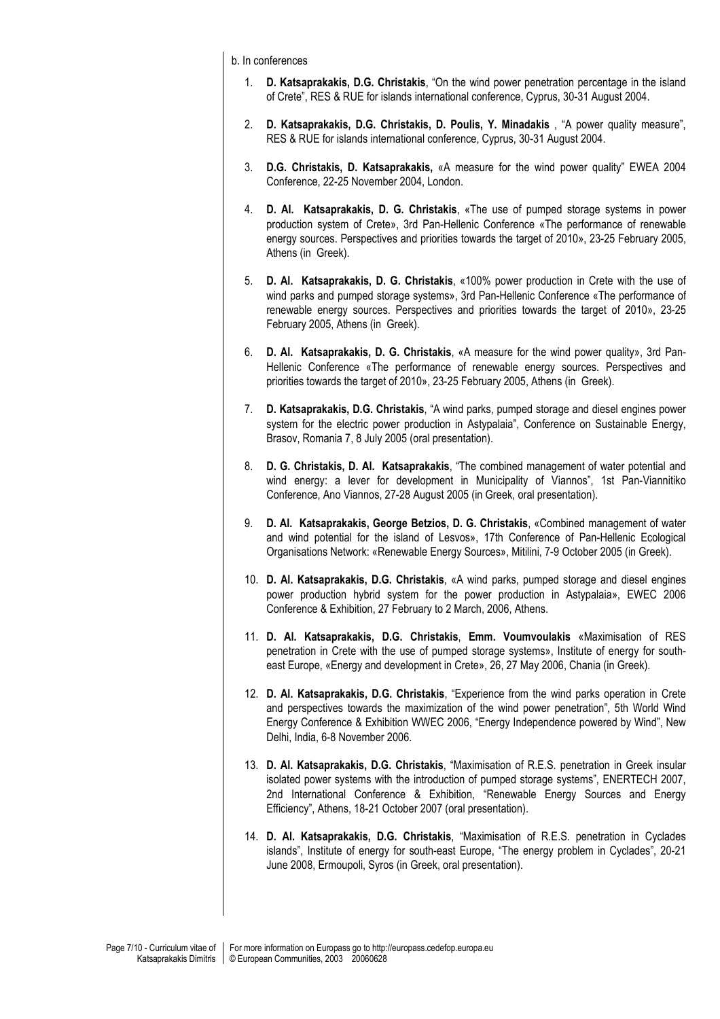b. In conferences

- 1. **D. Katsaprakakis, D.G. Christakis**, "On the wind power penetration percentage in the island of Crete", RES & RUE for islands international conference, Cyprus, 30-31 August 2004.
- 2. **D. Katsaprakakis, D.G. Christakis, D. Poulis, Y. Minadakis** , "A power quality measure", RES & RUE for islands international conference, Cyprus, 30-31 August 2004.
- 3. **D.G. Christakis, D. Katsaprakakis,** «A measure for the wind power quality" EWEA 2004 Conference, 22-25 November 2004, London.
- 4. **D. Al. Katsaprakakis, D. G. Christakis**, «The use of pumped storage systems in power production system of Crete», 3rd Pan-Hellenic Conference «The performance of renewable energy sources. Perspectives and priorities towards the target of 2010», 23-25 February 2005, Athens (in Greek).
- 5. **D. Al. Katsaprakakis, D. G. Christakis**, «100% power production in Crete with the use of wind parks and pumped storage systems», 3rd Pan-Hellenic Conference «The performance of renewable energy sources. Perspectives and priorities towards the target of 2010», 23-25 February 2005, Athens (in Greek).
- 6. **D. Al. Katsaprakakis, D. G. Christakis**, «A measure for the wind power quality», 3rd Pan-Hellenic Conference «The performance of renewable energy sources. Perspectives and priorities towards the target of 2010», 23-25 February 2005, Athens (in Greek).
- 7. **D. Katsaprakakis, D.G. Christakis**, "Α wind parks, pumped storage and diesel engines power system for the electric power production in Αstypalaia", Conference on Sustainable Energy, Brasov, Romania 7, 8 July 2005 (oral presentation).
- 8. **D. G. Christakis, D. Al. Katsaprakakis**, "The combined management of water potential and wind energy: a lever for development in Municipality of Viannos", 1st Pan-Viannitiko Conference, Ano Viannos, 27-28 August 2005 (in Greek, oral presentation).
- 9. **D. Al. Katsaprakakis, George Betzios, D. G. Christakis**, «Combined management of water and wind potential for the island of Lesvos», 17th Conference of Pan-Hellenic Ecological Organisations Network: «Renewable Energy Sources», Mitilini, 7-9 October 2005 (in Greek).
- 10. **D. Al. Katsaprakakis, D.G. Christakis**, «Α wind parks, pumped storage and diesel engines power production hybrid system for the power production in Αstypalaia», EWEC 2006 Conference & Exhibition, 27 February to 2 March, 2006, Athens.
- 11. **D. Al. Katsaprakakis, D.G. Christakis**, **Emm. Voumvoulakis** «Maximisation of RES penetration in Crete with the use of pumped storage systems», Institute of energy for southeast Europe, «Energy and development in Crete», 26, 27 May 2006, Chania (in Greek).
- 12. **D. Al. Katsaprakakis, D.G. Christakis**, "Experience from the wind parks operation in Crete and perspectives towards the maximization of the wind power penetration", 5th World Wind Energy Conference & Exhibition WWEC 2006, "Energy Independence powered by Wind", New Delhi, India, 6-8 November 2006.
- 13. **D. Al. Katsaprakakis, D.G. Christakis**, "Maximisation of R.E.S. penetration in Greek insular isolated power systems with the introduction of pumped storage systems", ENERTECH 2007, 2nd International Conference & Exhibition, "Renewable Energy Sources and Energy Efficiency", Athens, 18-21 October 2007 (oral presentation).
- 14. **D. Al. Katsaprakakis, D.G. Christakis**, "Maximisation of R.E.S. penetration in Cyclades islands", Institute of energy for south-east Europe, "The energy problem in Cyclades", 20-21 June 2008, Ermoupoli, Syros (in Greek, oral presentation).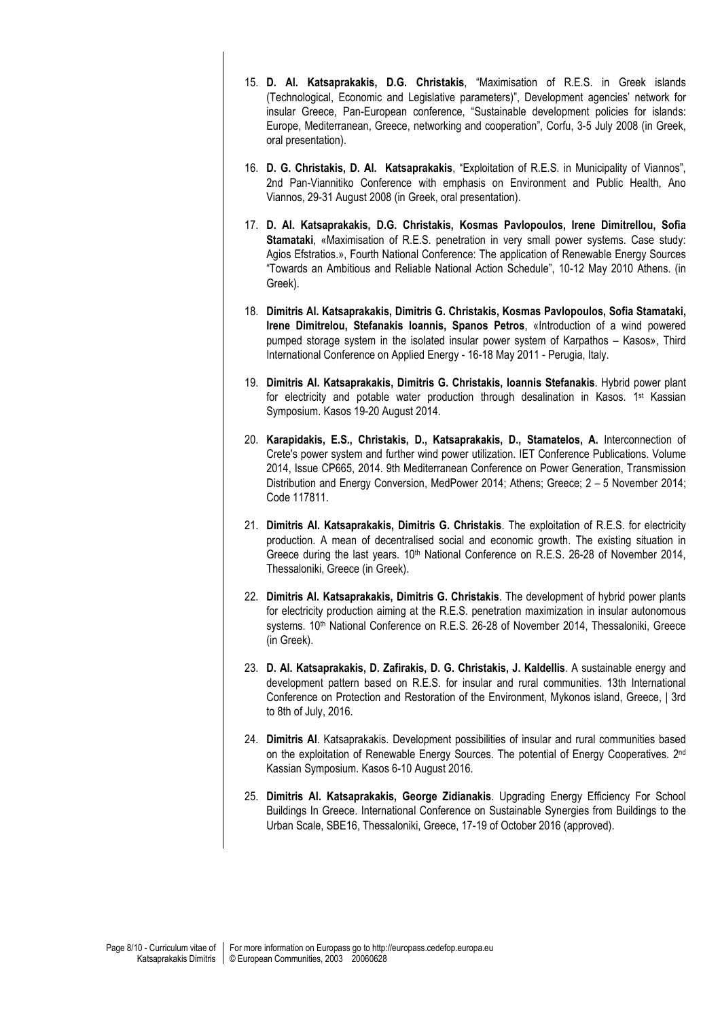- 15. **D. Al. Katsaprakakis, D.G. Christakis**, "Maximisation of R.E.S. in Greek islands (Technological, Economic and Legislative parameters)", Development agencies' network for insular Greece, Pan-European conference, "Sustainable development policies for islands: Europe, Mediterranean, Greece, networking and cooperation", Corfu, 3-5 July 2008 (in Greek, oral presentation).
- 16. **D. G. Christakis, D. Al. Katsaprakakis**, "Exploitation of R.E.S. in Municipality of Viannos", 2nd Pan-Viannitiko Conference with emphasis on Environment and Public Health, Ano Viannos, 29-31 August 2008 (in Greek, oral presentation).
- 17. **D. Al. Katsaprakakis, D.G. Christakis, Kosmas Pavlopoulos, Irene Dimitrellou, Sofia Stamataki**, «Maximisation of R.E.S. penetration in very small power systems. Case study: Agios Efstratios.», Fourth National Conference: The application of Renewable Energy Sources "Towards an Ambitious and Reliable National Action Schedule", 10-12 May 2010 Athens. (in Greek).
- 18. **Dimitris Al. Katsaprakakis, Dimitris G. Christakis, Kosmas Pavlopoulos, Sofia Stamataki, Irene Dimitrelou, Stefanakis Ioannis, Spanos Petros**, «Introduction of a wind powered pumped storage system in the isolated insular power system of Karpathos – Kasos», Third International Conference on Applied Energy - 16-18 May 2011 - Perugia, Italy.
- 19. **Dimitris Al. Katsaprakakis, Dimitris G. Christakis, Ioannis Stefanakis**. Hybrid power plant for electricity and potable water production through desalination in Kasos. 1st Kassian Symposium. Kasos 19-20 August 2014.
- 20. **Karapidakis, E.S., Christakis, D., Katsaprakakis, D., Stamatelos, A.** Interconnection of Crete's power system and further wind power utilization. IET Conference Publications. Volume 2014, Issue CP665, 2014. 9th Mediterranean Conference on Power Generation, Transmission Distribution and Energy Conversion, MedPower 2014; Athens; Greece; 2 – 5 November 2014; Code 117811.
- 21. **Dimitris Al. Katsaprakakis, Dimitris G. Christakis**. The exploitation of R.E.S. for electricity production. A mean of decentralised social and economic growth. The existing situation in Greece during the last years.  $10<sup>th</sup>$  National Conference on R.E.S. 26-28 of November 2014, Thessaloniki, Greece (in Greek).
- 22. **Dimitris Al. Katsaprakakis, Dimitris G. Christakis**. The development of hybrid power plants for electricity production aiming at the R.E.S. penetration maximization in insular autonomous systems. 10<sup>th</sup> National Conference on R.E.S. 26-28 of November 2014, Thessaloniki, Greece (in Greek).
- 23. **D. Al. Katsaprakakis, D. Zafirakis, D. G. Christakis, J. Kaldellis**. A sustainable energy and development pattern based on R.E.S. for insular and rural communities. 13th International Conference on Protection and Restoration of the Environment, Mykonos island, Greece, | 3rd to 8th of July, 2016.
- 24. **Dimitris Al**. Katsaprakakis. Development possibilities of insular and rural communities based on the exploitation of Renewable Energy Sources. The potential of Energy Cooperatives. 2<sup>nd</sup> Kassian Symposium. Kasos 6-10 August 2016.
- 25. **Dimitris Al. Katsaprakakis, George Zidianakis**. Upgrading Energy Efficiency For School Buildings In Greece. International Conference on Sustainable Synergies from Buildings to the Urban Scale, SBE16, Thessaloniki, Greece, 17-19 of October 2016 (approved).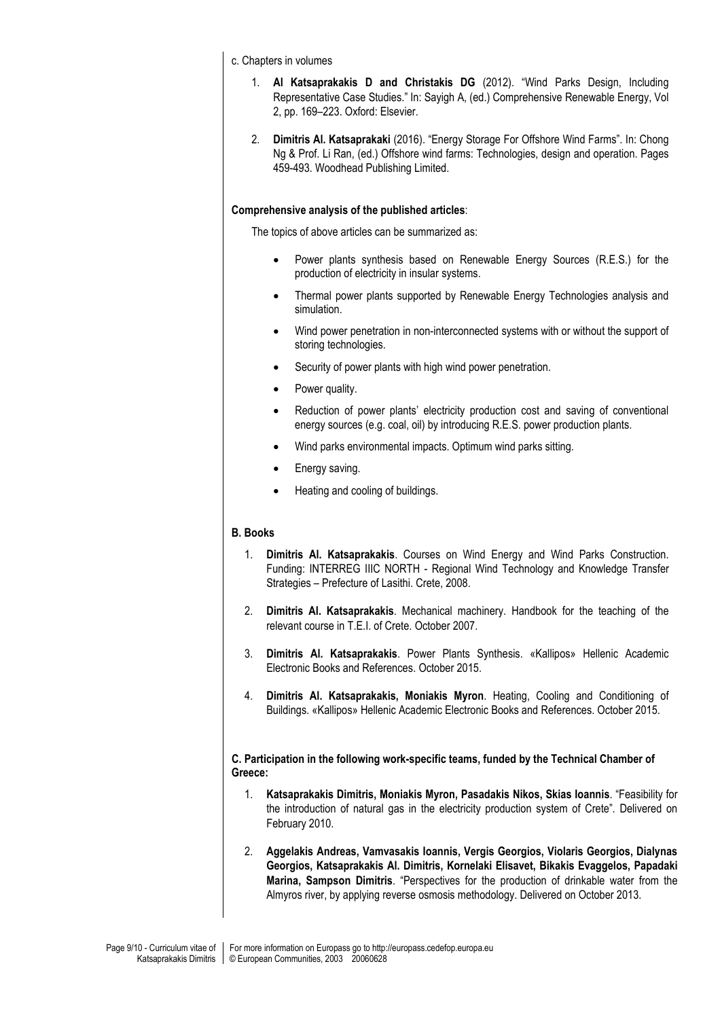c. Chapters in volumes

- 1. **Al Katsaprakakis D and Christakis DG** (2012). "Wind Parks Design, Including Representative Case Studies." In: Sayigh A, (ed.) Comprehensive Renewable Energy, Vol 2, pp. 169–223. Oxford: Elsevier.
- 2. **Dimitris Al. Katsaprakaki** (2016). "Energy Storage For Offshore Wind Farms". In: Chong Ng & Prof. Li Ran, (ed.) Offshore wind farms: Technologies, design and operation. Pages 459-493. Woodhead Publishing Limited.

#### **Comprehensive analysis of the published articles**:

The topics of above articles can be summarized as:

- Power plants synthesis based on Renewable Energy Sources (R.E.S.) for the production of electricity in insular systems.
- Thermal power plants supported by Renewable Energy Technologies analysis and simulation.
- Wind power penetration in non-interconnected systems with or without the support of storing technologies.
- Security of power plants with high wind power penetration.
- Power quality.
- Reduction of power plants' electricity production cost and saving of conventional energy sources (e.g. coal, oil) by introducing R.E.S. power production plants.
- Wind parks environmental impacts. Optimum wind parks sitting.
- Energy saving.
- Heating and cooling of buildings.

#### **B. Books**

- 1. **Dimitris Al. Katsaprakakis**. Courses on Wind Energy and Wind Parks Construction. Funding: INTERREG IIIC NORTH - Regional Wind Technology and Knowledge Transfer Strategies – Prefecture of Lasithi. Crete, 2008.
- 2. **Dimitris Al. Katsaprakakis**. Mechanical machinery. Handbook for the teaching of the relevant course in T.E.I. of Crete. October 2007.
- 3. **Dimitris Al. Katsaprakakis**. Power Plants Synthesis. «Kallipos» Hellenic Academic Electronic Books and References. October 2015.
- 4. **Dimitris Al. Katsaprakakis, Moniakis Myron**. Heating, Cooling and Conditioning of Buildings. «Kallipos» Hellenic Academic Electronic Books and References. October 2015.

**C. Participation in the following work-specific teams, funded by the Technical Chamber of Greece:**

- 1. **Katsaprakakis Dimitris, Moniakis Myron, Pasadakis Nikos, Skias Ioannis**. "Feasibility for the introduction of natural gas in the electricity production system of Crete". Delivered on February 2010.
- 2. **Aggelakis Andreas, Vamvasakis Ioannis, Vergis Georgios, Violaris Georgios, Dialynas Georgios, Katsaprakakis Al. Dimitris, Kornelaki Elisavet, Bikakis Evaggelos, Papadaki Marina, Sampson Dimitris**. "Perspectives for the production of drinkable water from the Almyros river, by applying reverse osmosis methodology. Delivered on October 2013.